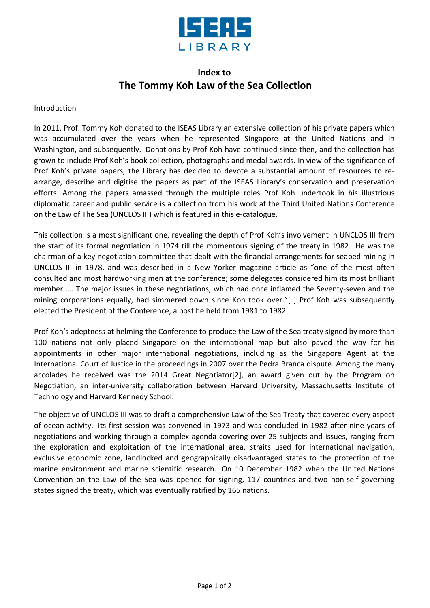

## **Index to The Tommy Koh Law of the Sea Collection**

## Introduction

In 2011, Prof. Tommy Koh donated to the ISEAS Library an extensive collection of his private papers which was accumulated over the years when he represented Singapore at the United Nations and in Washington, and subsequently. Donations by Prof Koh have continued since then, and the collection has grown to include Prof Koh's book collection, photographs and medal awards. In view of the significance of Prof Koh's private papers, the Library has decided to devote a substantial amount of resources to rearrange, describe and digitise the papers as part of the ISEAS Library's conservation and preservation efforts. Among the papers amassed through the multiple roles Prof Koh undertook in his illustrious diplomatic career and public service is a collection from his work at the Third United Nations Conference on the Law of The Sea (UNCLOS III) which is featured in this e-catalogue.

This collection is a most significant one, revealing the depth of Prof Koh's involvement in UNCLOS III from the start of its formal negotiation in 1974 till the momentous signing of the treaty in 1982. He was the chairman of a key negotiation committee that dealt with the financial arrangements for seabed mining in UNCLOS III in 1978, and was described in a New Yorker magazine article as "one of the most often consulted and most hardworking men at the conference; some delegates considered him its most brilliant member …. The major issues in these negotiations, which had once inflamed the Seventy-seven and the mining corporations equally, had simmered down since Koh took over."[ ] Prof Koh was subsequently elected the President of the Conference, a post he held from 1981 to 1982

Prof Koh's adeptness at helming the Conference to produce the Law of the Sea treaty signed by more than 100 nations not only placed Singapore on the international map but also paved the way for his appointments in other major international negotiations, including as the Singapore Agent at the International Court of Justice in the proceedings in 2007 over the Pedra Branca dispute. Among the many accolades he received was the 2014 Great Negotiator[2], an award given out by the Program on Negotiation, an inter-university collaboration between Harvard University, Massachusetts Institute of Technology and Harvard Kennedy School.

The objective of UNCLOS III was to draft a comprehensive Law of the Sea Treaty that covered every aspect of ocean activity. Its first session was convened in 1973 and was concluded in 1982 after nine years of negotiations and working through a complex agenda covering over 25 subjects and issues, ranging from the exploration and exploitation of the international area, straits used for international navigation, exclusive economic zone, landlocked and geographically disadvantaged states to the protection of the marine environment and marine scientific research. On 10 December 1982 when the United Nations Convention on the Law of the Sea was opened for signing, 117 countries and two non-self-governing states signed the treaty, which was eventually ratified by 165 nations.